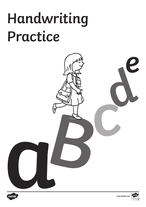## **Handwriting Practice**





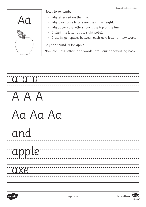

- My letters sit on the line.
- My lower case letters are the same height.
- My upper case letters touch the top of the line.
- I start the letter at the right point.
- I use finger spaces between each new letter or new word.

Say the sound: a for apple.

| a a a    |
|----------|
| AAA      |
| Aa Aa Aa |
| and      |
| apple    |
| axe      |

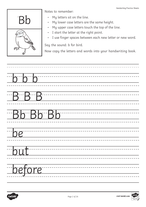

- My letters sit on the line.
- My lower case letters are the same height.
- My upper case letters touch the top of the line.
- I start the letter at the right point.
- I use finger spaces between each new letter or new word.

Say the sound: b for bird.

| $\overline{b}$ $\overline{b}$ $\overline{b}$ |
|----------------------------------------------|
| $-B-B-B$                                     |
| Bb Bb Bb                                     |
| be                                           |
| but                                          |
| before                                       |

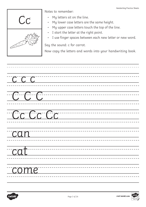

- My letters sit on the line.
- My lower case letters are the same height.
- My upper case letters touch the top of the line.
- I start the letter at the right point.
- I use finger spaces between each new letter or new word.

Say the sound: c for carrot.

| $\overline{CCCC}$ |  |
|-------------------|--|
| CCC               |  |
| Cc Cc Cc          |  |
| $\overline{can}$  |  |
| cat               |  |
| come              |  |

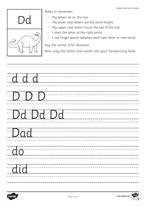

- My letters sit on the line.
- My lower case letters are the same height.
- My upper case letters touch the top of the line.
- I start the letter at the right point.
- I use finger spaces between each new letter or new word.

Say the sound: d for dinosaur.

| $\begin{picture}(10,10) \put(0,0){\line(1,0){10}} \put(10,0){\line(1,0){10}} \put(10,0){\line(1,0){10}} \put(10,0){\line(1,0){10}} \put(10,0){\line(1,0){10}} \put(10,0){\line(1,0){10}} \put(10,0){\line(1,0){10}} \put(10,0){\line(1,0){10}} \put(10,0){\line(1,0){10}} \put(10,0){\line(1,0){10}} \put(10,0){\line(1,0){10}} \put(10,0){\line(1$ |
|-----------------------------------------------------------------------------------------------------------------------------------------------------------------------------------------------------------------------------------------------------------------------------------------------------------------------------------------------------|
| Da Da Da                                                                                                                                                                                                                                                                                                                                            |
| Dad                                                                                                                                                                                                                                                                                                                                                 |
| 10                                                                                                                                                                                                                                                                                                                                                  |
| did                                                                                                                                                                                                                                                                                                                                                 |

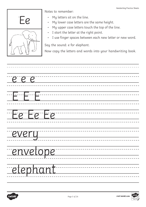

- My letters sit on the line.
- My lower case letters are the same height.
- My upper case letters touch the top of the line.
- I start the letter at the right point.
- I use finger spaces between each new letter or new word.

Say the sound: e for elephant.

| $e$ ee          |
|-----------------|
|                 |
|                 |
| <u>Fe Fe Fe</u> |
| every           |
| envelope        |
| elephant        |

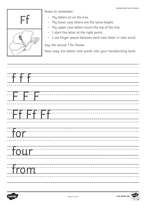

- My letters sit on the line.
- My lower case letters are the same height.
- My upper case letters touch the top of the line.
- I start the letter at the right point.
- I use finger spaces between each new letter or new word.

Say the sound: f for flower.

| F f - - - - - - - - |
|---------------------|
| $-$ for $-$         |
| Four                |
| Trom                |

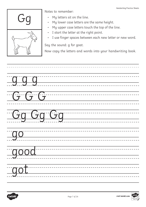

- My letters sit on the line.
- My lower case letters are the same height.
- My upper case letters touch the top of the line.
- I start the letter at the right point.
- I use finger spaces between each new letter or new word.

Say the sound: g for goat.

| qqq               |
|-------------------|
| GG                |
| Gg Gg Gg          |
| $\Box$ and $\Box$ |
| good              |
| got               |

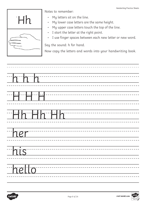

- My letters sit on the line.
- My lower case letters are the same height.
- My upper case letters touch the top of the line.
- I start the letter at the right point.
- I use finger spaces between each new letter or new word.

Say the sound: h for hand.

| h h        |
|------------|
|            |
| Tih ihr Hh |
| her        |
| his        |
| hello      |

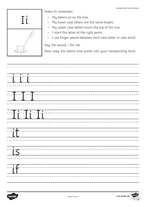

- My letters sit on the line.
- My lower case letters are the same height.
- My upper case letters touch the top of the line.
- I start the letter at the right point.
- I use finger spaces between each new letter or new word.

Say the sound: i for ink.

| $\underline{\textbf{T}}$ i $\underline{\textbf{T}}$ i $\underline{\textbf{T}}$ i $\underline{\textbf{T}}$ i $\underline{\textbf{T}}$ |  |  |  |
|--------------------------------------------------------------------------------------------------------------------------------------|--|--|--|
| $\overline{\mathbf{u}}$                                                                                                              |  |  |  |
| $\overline{\overline{\text{is}}}$                                                                                                    |  |  |  |
| $\overline{\cdots}$ if                                                                                                               |  |  |  |

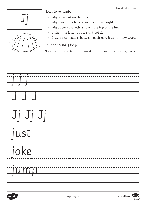

- My letters sit on the line.
- My lower case letters are the same height.
- My upper case letters touch the top of the line.
- I start the letter at the right point.
- I use finger spaces between each new letter or new word.

Say the sound: j for jelly.



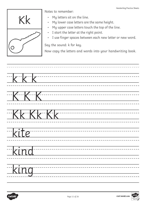

- My letters sit on the line.
- My lower case letters are the same height.
- My upper case letters touch the top of the line.
- I start the letter at the right point.
- I use finger spaces between each new letter or new word.

Say the sound: k for key.

| KKK  |                                  |
|------|----------------------------------|
| K    |                                  |
|      | KKKKKK                           |
| kite |                                  |
| kind | -------------------------------- |
| king |                                  |

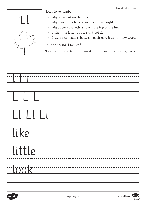

- My letters sit on the line.
- My lower case letters are the same height.
- My upper case letters touch the top of the line.
- I start the letter at the right point.
- I use finger spaces between each new letter or new word.

Say the sound: l for leaf.

| $\begin{picture}(20,20) \put(0,0){\line(1,0){10}} \put(15,0){\line(1,0){10}} \put(15,0){\line(1,0){10}} \put(15,0){\line(1,0){10}} \put(15,0){\line(1,0){10}} \put(15,0){\line(1,0){10}} \put(15,0){\line(1,0){10}} \put(15,0){\line(1,0){10}} \put(15,0){\line(1,0){10}} \put(15,0){\line(1,0){10}} \put(15,0){\line(1,0){10}} \put(15,0){\line(1$ |
|-----------------------------------------------------------------------------------------------------------------------------------------------------------------------------------------------------------------------------------------------------------------------------------------------------------------------------------------------------|
| ╌╌┠╌╌╌┠╌╌╌┠╌╴                                                                                                                                                                                                                                                                                                                                       |
|                                                                                                                                                                                                                                                                                                                                                     |
| Tike                                                                                                                                                                                                                                                                                                                                                |
| Hittle <sup>--</sup>                                                                                                                                                                                                                                                                                                                                |
| Took                                                                                                                                                                                                                                                                                                                                                |

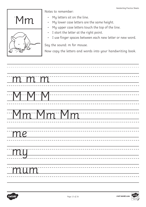

- My letters sit on the line.
- My lower case letters are the same height.
- My upper case letters touch the top of the line.
- I start the letter at the right point.
- I use finger spaces between each new letter or new word.

Say the sound: m for mouse.

| mmm      |
|----------|
| MMMM     |
| Mm Mm Mm |
| me       |
| my       |
| mum      |

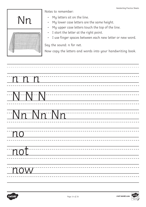

- My letters sit on the line.
- My lower case letters are the same height.
- My upper case letters touch the top of the line.
- I start the letter at the right point.
- I use finger spaces between each new letter or new word.

Say the sound: n for net.

| nnn      |
|----------|
| NAN NAN  |
| Nn Nn Nn |
| $-$ no   |
| not      |
| now      |

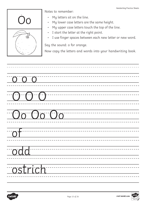

- My letters sit on the line.
- My lower case letters are the same height.
- My upper case letters touch the top of the line.
- I start the letter at the right point.
- I use finger spaces between each new letter or new word.

Say the sound: o for orange.

| OOO                    |  |
|------------------------|--|
| 00 00 00               |  |
| $\overline{\text{of}}$ |  |
| odd                    |  |
| ostrich                |  |

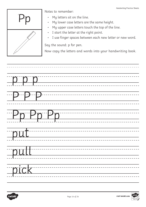

- My letters sit on the line.
- My lower case letters are the same height.
- My upper case letters touch the top of the line.
- I start the letter at the right point.
- I use finger spaces between each new letter or new word.

Say the sound: p for pen.

| $\begin{picture}(10,10) \put(0,0){\vector(1,0){100}} \put(15,0){\vector(1,0){100}} \put(15,0){\vector(1,0){100}} \put(15,0){\vector(1,0){100}} \put(15,0){\vector(1,0){100}} \put(15,0){\vector(1,0){100}} \put(15,0){\vector(1,0){100}} \put(15,0){\vector(1,0){100}} \put(15,0){\vector(1,0){100}} \put(15,0){\vector(1,0){100}} \put(15,0){\vector(1,0){100}} \$ |
|---------------------------------------------------------------------------------------------------------------------------------------------------------------------------------------------------------------------------------------------------------------------------------------------------------------------------------------------------------------------|
| Pp Pp Pp                                                                                                                                                                                                                                                                                                                                                            |
| put                                                                                                                                                                                                                                                                                                                                                                 |
| pull                                                                                                                                                                                                                                                                                                                                                                |
| pick                                                                                                                                                                                                                                                                                                                                                                |

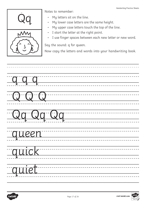

- My letters sit on the line.
- My lower case letters are the same height.
- My upper case letters touch the top of the line.
- I start the letter at the right point.
- I use finger spaces between each new letter or new word.

Say the sound: q for queen.

| qqq                                                                                                                                                                                                                                                                                                                                                                 |  |
|---------------------------------------------------------------------------------------------------------------------------------------------------------------------------------------------------------------------------------------------------------------------------------------------------------------------------------------------------------------------|--|
| $\begin{picture}(10,10) \put(0,0){\vector(1,0){100}} \put(15,0){\vector(1,0){100}} \put(15,0){\vector(1,0){100}} \put(15,0){\vector(1,0){100}} \put(15,0){\vector(1,0){100}} \put(15,0){\vector(1,0){100}} \put(15,0){\vector(1,0){100}} \put(15,0){\vector(1,0){100}} \put(15,0){\vector(1,0){100}} \put(15,0){\vector(1,0){100}} \put(15,0){\vector(1,0){100}} \$ |  |
| Qq Qq Qq                                                                                                                                                                                                                                                                                                                                                            |  |
| queen                                                                                                                                                                                                                                                                                                                                                               |  |
| quick                                                                                                                                                                                                                                                                                                                                                               |  |
| quiet                                                                                                                                                                                                                                                                                                                                                               |  |

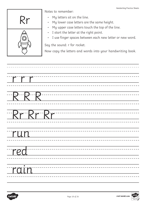

- My letters sit on the line.
- My lower case letters are the same height.
- My upper case letters touch the top of the line.
- I start the letter at the right point.
- I use finger spaces between each new letter or new word.

Say the sound: r for rocket.

| $\Gamma$    |
|-------------|
| $R$ $R$ $R$ |
| Rr Rr Rr    |
| run         |
| red         |
| rain        |

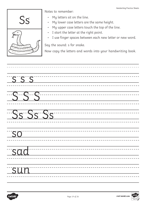

- My letters sit on the line.
- My lower case letters are the same height.
- My upper case letters touch the top of the line.
- I start the letter at the right point.
- I use finger spaces between each new letter or new word.

Say the sound: s for snake.

| $\frac{1}{\sqrt{555}}$   |          |
|--------------------------|----------|
|                          | $-$ SSS  |
|                          | Ss Ss Ss |
| $\overline{\mathsf{SO}}$ |          |
| sad                      |          |
| sun                      |          |

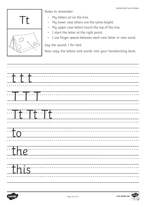

- My letters sit on the line.
- My lower case letters are the same height.
- My upper case letters touch the top of the line.
- I start the letter at the right point.
- I use finger spaces between each new letter or new word.

Say the sound: t for tent.

| $\begin{picture}(180,10) \put(0,0){\vector(1,0){100}} \put(10,0){\vector(1,0){100}} \put(10,0){\vector(1,0){100}} \put(10,0){\vector(1,0){100}} \put(10,0){\vector(1,0){100}} \put(10,0){\vector(1,0){100}} \put(10,0){\vector(1,0){100}} \put(10,0){\vector(1,0){100}} \put(10,0){\vector(1,0){100}} \put(10,0){\vector(1,0){100}} \put(10,0){\vector(1,0){100}}$<br><u> 1989 - Johann Stein, mars et al. (</u> |
|------------------------------------------------------------------------------------------------------------------------------------------------------------------------------------------------------------------------------------------------------------------------------------------------------------------------------------------------------------------------------------------------------------------|
|                                                                                                                                                                                                                                                                                                                                                                                                                  |
| $\frac{1}{2}$ . The contract of $\frac{1}{2}$ . The contract of $\frac{1}{2}$ is the contract of $\frac{1}{2}$ . The contract of $\frac{1}{2}$ is the contract of $\frac{1}{2}$ is the contract of $\frac{1}{2}$ is the contract of $\frac{1}{2}$ is the cont<br><u> 1989 - Johann Marie Barn, mars ar breist fan de Amerikaanske kommunister (</u>                                                              |
| $\overline{\text{to}}$                                                                                                                                                                                                                                                                                                                                                                                           |
| $\frac{1}{\sqrt{10}}$                                                                                                                                                                                                                                                                                                                                                                                            |
| this                                                                                                                                                                                                                                                                                                                                                                                                             |

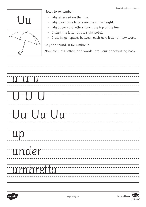

- My letters sit on the line.
- My lower case letters are the same height.
- My upper case letters touch the top of the line.
- I start the letter at the right point.
- I use finger spaces between each new letter or new word.

Say the sound: u for umbrella.

| uuu                                                                                                                                                                                                                                                                                                                                                 |
|-----------------------------------------------------------------------------------------------------------------------------------------------------------------------------------------------------------------------------------------------------------------------------------------------------------------------------------------------------|
| $\begin{picture}(10,10) \put(0,0){\line(1,0){10}} \put(10,0){\line(1,0){10}} \put(10,0){\line(1,0){10}} \put(10,0){\line(1,0){10}} \put(10,0){\line(1,0){10}} \put(10,0){\line(1,0){10}} \put(10,0){\line(1,0){10}} \put(10,0){\line(1,0){10}} \put(10,0){\line(1,0){10}} \put(10,0){\line(1,0){10}} \put(10,0){\line(1,0){10}} \put(10,0){\line(1$ |
| Uu Uu Uu                                                                                                                                                                                                                                                                                                                                            |
| up <sup>"</sup>                                                                                                                                                                                                                                                                                                                                     |
| <i>aunder</i>                                                                                                                                                                                                                                                                                                                                       |
| umbretta                                                                                                                                                                                                                                                                                                                                            |

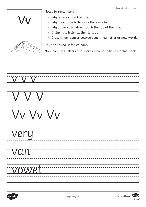

- My letters sit on the line.
- My lower case letters are the same height.
- My upper case letters touch the top of the line.
- I start the letter at the right point.
- I use finger spaces between each new letter or new word.

Say the sound: v for volcano.

v v v \_\_\_\_\_\_\_\_\_\_\_\_\_\_\_\_\_\_\_\_\_\_\_\_\_\_\_\_\_ --------------------------VV ----------------------------Vv Vv Vv very --------------------------------van vowel \_\_\_\_\_\_\_\_\_\_\_\_\_\_\_\_\_\_\_\_\_\_\_\_\_\_\_\_\_\_\_\_

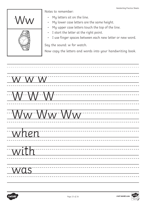

- My letters sit on the line.
- My lower case letters are the same height.
- My upper case letters touch the top of the line.
- I start the letter at the right point.
- I use finger spaces between each new letter or new word.

Say the sound: w for watch.

w w w -------------------------------\_\_\_\_\_\_\_\_\_\_\_\_\_\_\_\_\_\_\_\_\_\_\_\_\_\_ WW -------------------------Ww Ww Ww \_\_\_\_\_\_\_\_\_\_\_\_\_\_\_\_\_\_\_\_\_\_\_\_\_\_\_\_\_ when -------------------------------with -----------------------------\_\_\_\_\_\_\_\_\_\_\_\_\_\_\_\_\_\_\_\_\_\_\_\_\_\_\_\_\_\_\_\_\_\_\_\_\_ was \_\_\_\_\_\_\_\_\_\_\_\_\_\_\_\_\_\_\_\_\_\_\_\_\_\_\_\_\_\_\_\_

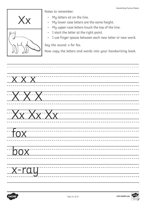

- My letters sit on the line.
- My lower case letters are the same height.
- My upper case letters touch the top of the line.
- I start the letter at the right point.
- I use finger spaces between each new letter or new word.

Say the sound: x for fox.

| $\overline{XXX}$       |  |
|------------------------|--|
| $\overline{\text{XX}}$ |  |
| XXXXX                  |  |
| $f_{OX}$               |  |
| $\boxed{$              |  |
| <u>x-ray</u>           |  |

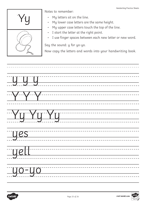

- My letters sit on the line.
- My lower case letters are the same height.
- My upper case letters touch the top of the line.
- I start the letter at the right point.
- I use finger spaces between each new letter or new word.

Say the sound: y for yo-yo.

| y y y      |
|------------|
|            |
|            |
| Tyy Yy Yy  |
| <u>ues</u> |
| well       |
| Lyo-yo     |